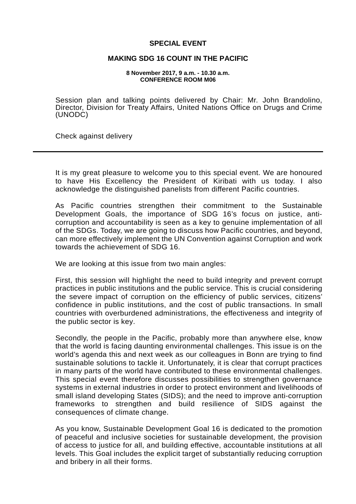## **SPECIAL EVENT**

## **MAKING SDG 16 COUNT IN THE PACIFIC**

## **8 November 2017, 9 a.m. - 10.30 a.m. CONFERENCE ROOM M06**

Session plan and talking points delivered by Chair: Mr. John Brandolino, Director, Division for Treaty Affairs, United Nations Office on Drugs and Crime (UNODC)

Check against delivery

It is my great pleasure to welcome you to this special event. We are honoured to have His Excellency the President of Kiribati with us today. I also acknowledge the distinguished panelists from different Pacific countries.

As Pacific countries strengthen their commitment to the Sustainable Development Goals, the importance of SDG 16's focus on justice, anticorruption and accountability is seen as a key to genuine implementation of all of the SDGs. Today, we are going to discuss how Pacific countries, and beyond, can more effectively implement the UN Convention against Corruption and work towards the achievement of SDG 16.

We are looking at this issue from two main angles:

First, this session will highlight the need to build integrity and prevent corrupt practices in public institutions and the public service. This is crucial considering the severe impact of corruption on the efficiency of public services, citizens' confidence in public institutions, and the cost of public transactions. In small countries with overburdened administrations, the effectiveness and integrity of the public sector is key.

Secondly, the people in the Pacific, probably more than anywhere else, know that the world is facing daunting environmental challenges. This issue is on the world's agenda this and next week as our colleagues in Bonn are trying to find sustainable solutions to tackle it. Unfortunately, it is clear that corrupt practices in many parts of the world have contributed to these environmental challenges. This special event therefore discusses possibilities to strengthen governance systems in external industries in order to protect environment and livelihoods of small island developing States (SIDS); and the need to improve anti-corruption frameworks to strengthen and build resilience of SIDS against the consequences of climate change.

As you know, Sustainable Development Goal 16 is dedicated to the promotion of peaceful and inclusive societies for sustainable development, the provision of access to justice for all, and building effective, accountable institutions at all levels. This Goal includes the explicit target of substantially reducing corruption and bribery in all their forms.